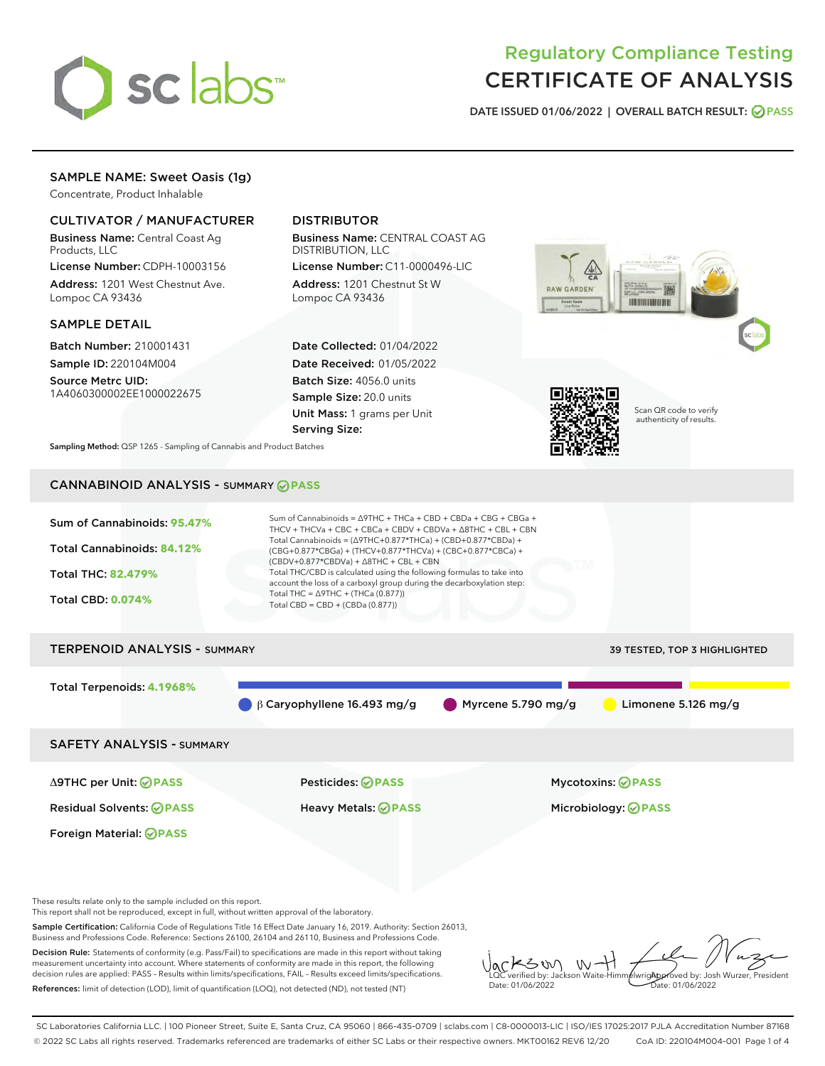

# Regulatory Compliance Testing CERTIFICATE OF ANALYSIS

DATE ISSUED 01/06/2022 | OVERALL BATCH RESULT: @ PASS

# SAMPLE NAME: Sweet Oasis (1g)

Concentrate, Product Inhalable

# CULTIVATOR / MANUFACTURER

Business Name: Central Coast Ag Products, LLC

License Number: CDPH-10003156 Address: 1201 West Chestnut Ave. Lompoc CA 93436

#### SAMPLE DETAIL

Batch Number: 210001431 Sample ID: 220104M004

Source Metrc UID: 1A4060300002EE1000022675

# DISTRIBUTOR

Business Name: CENTRAL COAST AG DISTRIBUTION, LLC

License Number: C11-0000496-LIC Address: 1201 Chestnut St W Lompoc CA 93436

Date Collected: 01/04/2022 Date Received: 01/05/2022 Batch Size: 4056.0 units Sample Size: 20.0 units Unit Mass: 1 grams per Unit Serving Size:





Scan QR code to verify authenticity of results.

Sampling Method: QSP 1265 - Sampling of Cannabis and Product Batches

# CANNABINOID ANALYSIS - SUMMARY **PASS**



# TERPENOID ANALYSIS - SUMMARY 39 TESTED, TOP 3 HIGHLIGHTED Total Terpenoids: **4.1968%** β Caryophyllene 16.493 mg/g Myrcene 5.790 mg/g Limonene 5.126 mg/g SAFETY ANALYSIS - SUMMARY

Foreign Material: **PASS**

Δ9THC per Unit: **PASS** Pesticides: **PASS** Mycotoxins: **PASS**

Residual Solvents: **PASS** Heavy Metals: **PASS** Microbiology: **PASS**

These results relate only to the sample included on this report.

This report shall not be reproduced, except in full, without written approval of the laboratory.

Sample Certification: California Code of Regulations Title 16 Effect Date January 16, 2019. Authority: Section 26013, Business and Professions Code. Reference: Sections 26100, 26104 and 26110, Business and Professions Code.

Decision Rule: Statements of conformity (e.g. Pass/Fail) to specifications are made in this report without taking measurement uncertainty into account. Where statements of conformity are made in this report, the following decision rules are applied: PASS – Results within limits/specifications, FAIL – Results exceed limits/specifications. References: limit of detection (LOD), limit of quantification (LOQ), not detected (ND), not tested (NT)

KSW  $W$ **AlwrigApproved by: Josh Wurzer, President** LQC verified by: Jackson Waite-Himmelwright Date: 01/06/2022 Date: 01/06/2022

SC Laboratories California LLC. | 100 Pioneer Street, Suite E, Santa Cruz, CA 95060 | 866-435-0709 | sclabs.com | C8-0000013-LIC | ISO/IES 17025:2017 PJLA Accreditation Number 87168 © 2022 SC Labs all rights reserved. Trademarks referenced are trademarks of either SC Labs or their respective owners. MKT00162 REV6 12/20 CoA ID: 220104M004-001 Page 1 of 4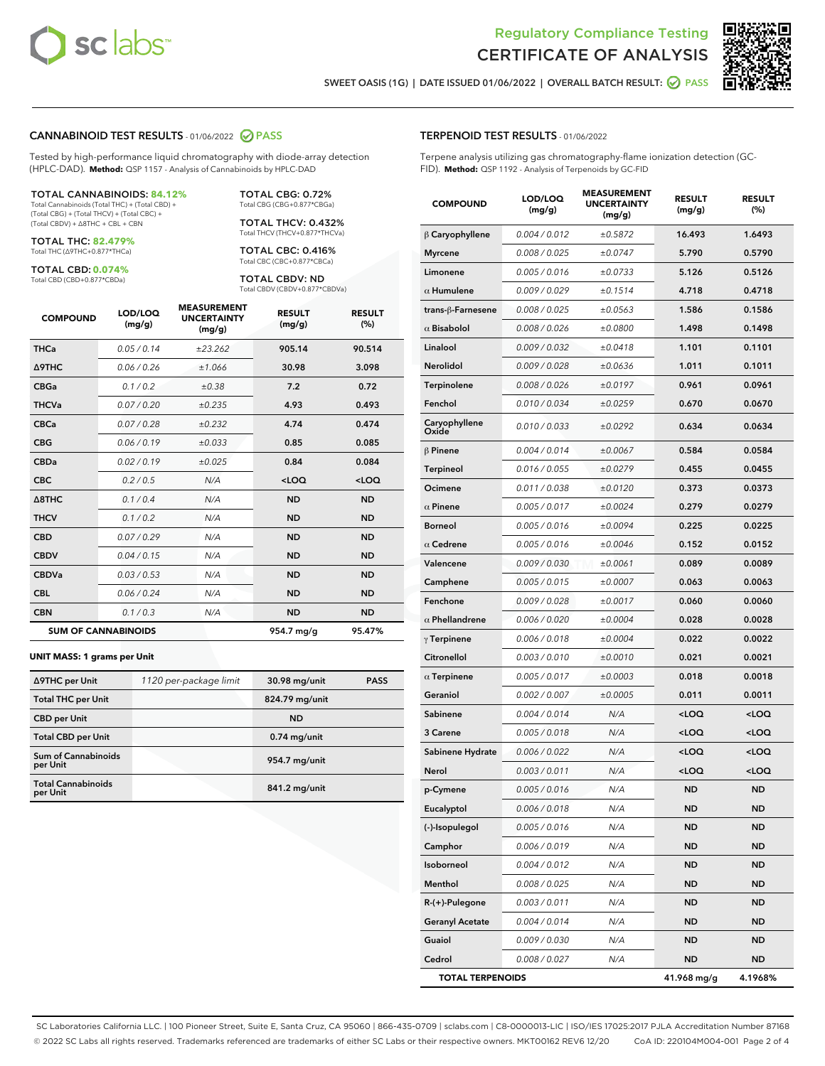



SWEET OASIS (1G) | DATE ISSUED 01/06/2022 | OVERALL BATCH RESULT: @ PASS

#### CANNABINOID TEST RESULTS - 01/06/2022 2 PASS

Tested by high-performance liquid chromatography with diode-array detection (HPLC-DAD). **Method:** QSP 1157 - Analysis of Cannabinoids by HPLC-DAD

#### TOTAL CANNABINOIDS: **84.12%**

Total Cannabinoids (Total THC) + (Total CBD) + (Total CBG) + (Total THCV) + (Total CBC) + (Total CBDV) + ∆8THC + CBL + CBN

TOTAL THC: **82.479%** Total THC (∆9THC+0.877\*THCa)

TOTAL CBD: **0.074%**

Total CBD (CBD+0.877\*CBDa)

TOTAL CBG: 0.72% Total CBG (CBG+0.877\*CBGa)

TOTAL THCV: 0.432% Total THCV (THCV+0.877\*THCVa)

TOTAL CBC: 0.416% Total CBC (CBC+0.877\*CBCa)

TOTAL CBDV: ND Total CBDV (CBDV+0.877\*CBDVa)

| <b>COMPOUND</b> | LOD/LOQ<br>(mg/g)          | <b>MEASUREMENT</b><br><b>UNCERTAINTY</b><br>(mg/g) | <b>RESULT</b><br>(mg/g) | <b>RESULT</b><br>(%) |
|-----------------|----------------------------|----------------------------------------------------|-------------------------|----------------------|
| <b>THCa</b>     | 0.05/0.14                  | ±23.262                                            | 905.14                  | 90.514               |
| <b>A9THC</b>    | 0.06 / 0.26                | ±1.066                                             | 30.98                   | 3.098                |
| <b>CBGa</b>     | 0.1/0.2                    | ±0.38                                              | 7.2                     | 0.72                 |
| <b>THCVa</b>    | 0.07 / 0.20                | ±0.235                                             | 4.93                    | 0.493                |
| <b>CBCa</b>     | 0.07 / 0.28                | ±0.232                                             | 4.74                    | 0.474                |
| <b>CBG</b>      | 0.06/0.19                  | ±0.033                                             | 0.85                    | 0.085                |
| <b>CBDa</b>     | 0.02/0.19                  | ±0.025                                             | 0.84                    | 0.084                |
| <b>CBC</b>      | 0.2 / 0.5                  | N/A                                                | $<$ LOQ                 | $<$ LOQ              |
| A8THC           | 0.1/0.4                    | N/A                                                | <b>ND</b>               | <b>ND</b>            |
| <b>THCV</b>     | 0.1/0.2                    | N/A                                                | <b>ND</b>               | <b>ND</b>            |
| <b>CBD</b>      | 0.07/0.29                  | N/A                                                | <b>ND</b>               | <b>ND</b>            |
| <b>CBDV</b>     | 0.04 / 0.15                | N/A                                                | <b>ND</b>               | <b>ND</b>            |
| <b>CBDVa</b>    | 0.03 / 0.53                | N/A                                                | <b>ND</b>               | <b>ND</b>            |
| <b>CBL</b>      | 0.06 / 0.24                | N/A                                                | <b>ND</b>               | <b>ND</b>            |
| <b>CBN</b>      | 0.1 / 0.3                  | N/A                                                | <b>ND</b>               | <b>ND</b>            |
|                 | <b>SUM OF CANNABINOIDS</b> |                                                    | 954.7 mg/g              | 95.47%               |

#### **UNIT MASS: 1 grams per Unit**

| ∆9THC per Unit                        | 1120 per-package limit | 30.98 mg/unit  | <b>PASS</b> |
|---------------------------------------|------------------------|----------------|-------------|
| <b>Total THC per Unit</b>             |                        | 824.79 mg/unit |             |
| <b>CBD</b> per Unit                   |                        | <b>ND</b>      |             |
| <b>Total CBD per Unit</b>             |                        | $0.74$ mg/unit |             |
| Sum of Cannabinoids<br>per Unit       |                        | 954.7 mg/unit  |             |
| <b>Total Cannabinoids</b><br>per Unit |                        | 841.2 mg/unit  |             |

#### TERPENOID TEST RESULTS - 01/06/2022

Terpene analysis utilizing gas chromatography-flame ionization detection (GC-FID). **Method:** QSP 1192 - Analysis of Terpenoids by GC-FID

| <b>COMPOUND</b>         | LOD/LOQ<br>(mg/g) | <b>MEASUREMENT</b><br><b>UNCERTAINTY</b><br>(mg/g) | <b>RESULT</b><br>(mg/g)                          | <b>RESULT</b><br>(%) |
|-------------------------|-------------------|----------------------------------------------------|--------------------------------------------------|----------------------|
| $\beta$ Caryophyllene   | 0.004 / 0.012     | ±0.5872                                            | 16.493                                           | 1.6493               |
| <b>Myrcene</b>          | 0.008 / 0.025     | ±0.0747                                            | 5.790                                            | 0.5790               |
| Limonene                | 0.005 / 0.016     | ±0.0733                                            | 5.126                                            | 0.5126               |
| $\alpha$ Humulene       | 0.009/0.029       | ±0.1514                                            | 4.718                                            | 0.4718               |
| trans-ß-Farnesene       | 0.008 / 0.025     | ±0.0563                                            | 1.586                                            | 0.1586               |
| $\alpha$ Bisabolol      | 0.008 / 0.026     | ±0.0800                                            | 1.498                                            | 0.1498               |
| Linalool                | 0.009 / 0.032     | ±0.0418                                            | 1.101                                            | 0.1101               |
| Nerolidol               | 0.009 / 0.028     | ±0.0636                                            | 1.011                                            | 0.1011               |
| Terpinolene             | 0.008 / 0.026     | ±0.0197                                            | 0.961                                            | 0.0961               |
| Fenchol                 | 0.010 / 0.034     | ±0.0259                                            | 0.670                                            | 0.0670               |
| Caryophyllene<br>Oxide  | 0.010 / 0.033     | ±0.0292                                            | 0.634                                            | 0.0634               |
| $\beta$ Pinene          | 0.004 / 0.014     | ±0.0067                                            | 0.584                                            | 0.0584               |
| <b>Terpineol</b>        | 0.016 / 0.055     | ±0.0279                                            | 0.455                                            | 0.0455               |
| Ocimene                 | 0.011 / 0.038     | ±0.0120                                            | 0.373                                            | 0.0373               |
| $\alpha$ Pinene         | 0.005 / 0.017     | ±0.0024                                            | 0.279                                            | 0.0279               |
| <b>Borneol</b>          | 0.005 / 0.016     | ±0.0094                                            | 0.225                                            | 0.0225               |
| $\alpha$ Cedrene        | 0.005 / 0.016     | ±0.0046                                            | 0.152                                            | 0.0152               |
| Valencene               | 0.009 / 0.030     | ±0.0061                                            | 0.089                                            | 0.0089               |
| Camphene                | 0.005 / 0.015     | ±0.0007                                            | 0.063                                            | 0.0063               |
| Fenchone                | 0.009 / 0.028     | ±0.0017                                            | 0.060                                            | 0.0060               |
| $\alpha$ Phellandrene   | 0.006 / 0.020     | ±0.0004                                            | 0.028                                            | 0.0028               |
| $\gamma$ Terpinene      | 0.006 / 0.018     | ±0.0004                                            | 0.022                                            | 0.0022               |
| Citronellol             | 0.003 / 0.010     | ±0.0010                                            | 0.021                                            | 0.0021               |
| $\alpha$ Terpinene      | 0.005 / 0.017     | ±0.0003                                            | 0.018                                            | 0.0018               |
| Geraniol                | 0.002 / 0.007     | ±0.0005                                            | 0.011                                            | 0.0011               |
| Sabinene                | 0.004 / 0.014     | N/A                                                | $<$ LOQ                                          | <loq< th=""></loq<>  |
| 3 Carene                | 0.005 / 0.018     | N/A                                                | <loq< th=""><th><loq< th=""></loq<></th></loq<>  | <loq< th=""></loq<>  |
| Sabinene Hydrate        | 0.006 / 0.022     | N/A                                                | <loq< th=""><th><loq< th=""></loq<></th></loq<>  | <loq< th=""></loq<>  |
| Nerol                   | 0.003 / 0.011     | N/A                                                | <loq< th=""><th><math>&lt;</math>LOQ</th></loq<> | $<$ LOQ              |
| p-Cymene                | 0.005 / 0.016     | N/A                                                | <b>ND</b>                                        | <b>ND</b>            |
| Eucalyptol              | 0.006 / 0.018     | N/A                                                | ND                                               | ND                   |
| (-)-Isopulegol          | 0.005 / 0.016     | N/A                                                | <b>ND</b>                                        | <b>ND</b>            |
| Camphor                 | 0.006 / 0.019     | N/A                                                | <b>ND</b>                                        | <b>ND</b>            |
| Isoborneol              | 0.004 / 0.012     | N/A                                                | ND                                               | ND                   |
| Menthol                 | 0.008 / 0.025     | N/A                                                | ND                                               | ND                   |
| R-(+)-Pulegone          | 0.003 / 0.011     | N/A                                                | <b>ND</b>                                        | <b>ND</b>            |
| <b>Geranyl Acetate</b>  | 0.004 / 0.014     | N/A                                                | ND                                               | ND                   |
| Guaiol                  | 0.009 / 0.030     | N/A                                                | ND                                               | <b>ND</b>            |
| Cedrol                  | 0.008 / 0.027     | N/A                                                | <b>ND</b>                                        | ND                   |
| <b>TOTAL TERPENOIDS</b> |                   |                                                    | 41.968 mg/g                                      | 4.1968%              |

SC Laboratories California LLC. | 100 Pioneer Street, Suite E, Santa Cruz, CA 95060 | 866-435-0709 | sclabs.com | C8-0000013-LIC | ISO/IES 17025:2017 PJLA Accreditation Number 87168 © 2022 SC Labs all rights reserved. Trademarks referenced are trademarks of either SC Labs or their respective owners. MKT00162 REV6 12/20 CoA ID: 220104M004-001 Page 2 of 4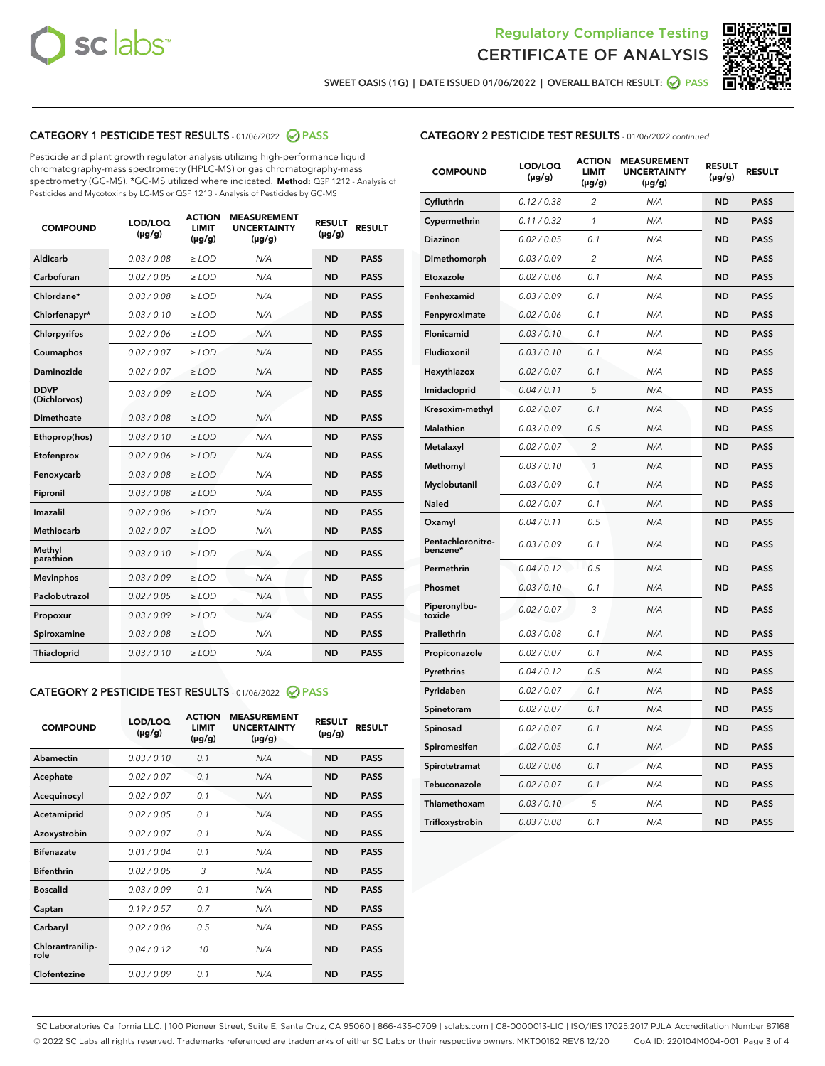



SWEET OASIS (1G) | DATE ISSUED 01/06/2022 | OVERALL BATCH RESULT:  $\bigcirc$  PASS

# CATEGORY 1 PESTICIDE TEST RESULTS - 01/06/2022 2 PASS

Pesticide and plant growth regulator analysis utilizing high-performance liquid chromatography-mass spectrometry (HPLC-MS) or gas chromatography-mass spectrometry (GC-MS). \*GC-MS utilized where indicated. **Method:** QSP 1212 - Analysis of Pesticides and Mycotoxins by LC-MS or QSP 1213 - Analysis of Pesticides by GC-MS

| <b>COMPOUND</b>             | LOD/LOQ<br>$(\mu g/g)$ | <b>ACTION</b><br><b>LIMIT</b><br>$(\mu g/g)$ | <b>MEASUREMENT</b><br><b>UNCERTAINTY</b><br>$(\mu g/g)$ | <b>RESULT</b><br>$(\mu g/g)$ | <b>RESULT</b> |
|-----------------------------|------------------------|----------------------------------------------|---------------------------------------------------------|------------------------------|---------------|
| Aldicarb                    | 0.03/0.08              | $>$ LOD                                      | N/A                                                     | <b>ND</b>                    | <b>PASS</b>   |
| Carbofuran                  | 0.02 / 0.05            | $\ge$ LOD                                    | N/A                                                     | <b>ND</b>                    | <b>PASS</b>   |
| Chlordane*                  | 0.03 / 0.08            | $\ge$ LOD                                    | N/A                                                     | <b>ND</b>                    | <b>PASS</b>   |
| Chlorfenapyr*               | 0.03/0.10              | $\ge$ LOD                                    | N/A                                                     | <b>ND</b>                    | <b>PASS</b>   |
| Chlorpyrifos                | 0.02 / 0.06            | $\ge$ LOD                                    | N/A                                                     | <b>ND</b>                    | <b>PASS</b>   |
| Coumaphos                   | 0.02 / 0.07            | $\ge$ LOD                                    | N/A                                                     | <b>ND</b>                    | <b>PASS</b>   |
| Daminozide                  | 0.02/0.07              | $>$ LOD                                      | N/A                                                     | <b>ND</b>                    | <b>PASS</b>   |
| <b>DDVP</b><br>(Dichlorvos) | 0.03/0.09              | $\ge$ LOD                                    | N/A                                                     | <b>ND</b>                    | <b>PASS</b>   |
| <b>Dimethoate</b>           | 0.03 / 0.08            | $\ge$ LOD                                    | N/A                                                     | <b>ND</b>                    | <b>PASS</b>   |
| Ethoprop(hos)               | 0.03/0.10              | $\ge$ LOD                                    | N/A                                                     | <b>ND</b>                    | <b>PASS</b>   |
| Etofenprox                  | 0.02 / 0.06            | $\ge$ LOD                                    | N/A                                                     | <b>ND</b>                    | <b>PASS</b>   |
| Fenoxycarb                  | 0.03 / 0.08            | $\ge$ LOD                                    | N/A                                                     | <b>ND</b>                    | <b>PASS</b>   |
| Fipronil                    | 0.03 / 0.08            | $\ge$ LOD                                    | N/A                                                     | <b>ND</b>                    | <b>PASS</b>   |
| Imazalil                    | 0.02 / 0.06            | $\geq$ LOD                                   | N/A                                                     | <b>ND</b>                    | <b>PASS</b>   |
| Methiocarb                  | 0.02 / 0.07            | $>$ LOD                                      | N/A                                                     | <b>ND</b>                    | <b>PASS</b>   |
| Methyl<br>parathion         | 0.03/0.10              | $\ge$ LOD                                    | N/A                                                     | <b>ND</b>                    | <b>PASS</b>   |
| <b>Mevinphos</b>            | 0.03/0.09              | $\ge$ LOD                                    | N/A                                                     | <b>ND</b>                    | <b>PASS</b>   |
| Paclobutrazol               | 0.02 / 0.05            | $>$ LOD                                      | N/A                                                     | <b>ND</b>                    | <b>PASS</b>   |
| Propoxur                    | 0.03/0.09              | $\ge$ LOD                                    | N/A                                                     | <b>ND</b>                    | <b>PASS</b>   |
| Spiroxamine                 | 0.03 / 0.08            | $\ge$ LOD                                    | N/A                                                     | <b>ND</b>                    | <b>PASS</b>   |
| <b>Thiacloprid</b>          | 0.03/0.10              | $\ge$ LOD                                    | N/A                                                     | <b>ND</b>                    | <b>PASS</b>   |

#### CATEGORY 2 PESTICIDE TEST RESULTS - 01/06/2022 2 PASS

| <b>COMPOUND</b>          | LOD/LOO<br>$(\mu g/g)$ | <b>ACTION</b><br>LIMIT<br>$(\mu g/g)$ | <b>MEASUREMENT</b><br><b>UNCERTAINTY</b><br>$(\mu g/g)$ | <b>RESULT</b><br>$(\mu g/g)$ | <b>RESULT</b> |  |
|--------------------------|------------------------|---------------------------------------|---------------------------------------------------------|------------------------------|---------------|--|
| Abamectin                | 0.03/0.10              | 0.1                                   | N/A                                                     | <b>ND</b>                    | <b>PASS</b>   |  |
| Acephate                 | 0.02/0.07              | 0.1                                   | N/A                                                     | <b>ND</b>                    | <b>PASS</b>   |  |
| Acequinocyl              | 0.02/0.07              | 0.1                                   | N/A                                                     | <b>ND</b>                    | <b>PASS</b>   |  |
| Acetamiprid              | 0.02 / 0.05            | 0.1                                   | N/A                                                     | <b>ND</b>                    | <b>PASS</b>   |  |
| Azoxystrobin             | 0.02/0.07              | 0.1                                   | N/A                                                     | <b>ND</b>                    | <b>PASS</b>   |  |
| <b>Bifenazate</b>        | 0.01 / 0.04            | 0.1                                   | N/A                                                     | <b>ND</b>                    | <b>PASS</b>   |  |
| <b>Bifenthrin</b>        | 0.02 / 0.05            | 3                                     | N/A                                                     | <b>ND</b>                    | <b>PASS</b>   |  |
| <b>Boscalid</b>          | 0.03/0.09              | 0.1                                   | N/A                                                     | <b>ND</b>                    | <b>PASS</b>   |  |
| Captan                   | 0.19/0.57              | 0.7                                   | N/A                                                     | <b>ND</b>                    | <b>PASS</b>   |  |
| Carbaryl                 | 0.02/0.06              | 0.5                                   | N/A                                                     | <b>ND</b>                    | <b>PASS</b>   |  |
| Chlorantranilip-<br>role | 0.04/0.12              | 10                                    | N/A                                                     | <b>ND</b>                    | <b>PASS</b>   |  |
| Clofentezine             | 0.03/0.09              | 0.1                                   | N/A                                                     | <b>ND</b>                    | <b>PASS</b>   |  |

|  | <b>CATEGORY 2 PESTICIDE TEST RESULTS</b> - 01/06/2022 continued |
|--|-----------------------------------------------------------------|
|  |                                                                 |

| <b>COMPOUND</b>               | LOD/LOQ<br>(µg/g) | <b>ACTION</b><br>LIMIT<br>$(\mu g/g)$ | <b>MEASUREMENT</b><br><b>UNCERTAINTY</b><br>$(\mu g/g)$ | <b>RESULT</b><br>(µg/g) | <b>RESULT</b> |
|-------------------------------|-------------------|---------------------------------------|---------------------------------------------------------|-------------------------|---------------|
| Cyfluthrin                    | 0.12 / 0.38       | 2                                     | N/A                                                     | ND                      | <b>PASS</b>   |
| Cypermethrin                  | 0.11 / 0.32       | 1                                     | N/A                                                     | ND                      | <b>PASS</b>   |
| Diazinon                      | 0.02 / 0.05       | 0.1                                   | N/A                                                     | ND                      | <b>PASS</b>   |
| Dimethomorph                  | 0.03 / 0.09       | $\overline{c}$                        | N/A                                                     | <b>ND</b>               | <b>PASS</b>   |
| Etoxazole                     | 0.02 / 0.06       | 0.1                                   | N/A                                                     | ND                      | <b>PASS</b>   |
| Fenhexamid                    | 0.03 / 0.09       | 0.1                                   | N/A                                                     | ND                      | <b>PASS</b>   |
| Fenpyroximate                 | 0.02 / 0.06       | 0.1                                   | N/A                                                     | ND                      | <b>PASS</b>   |
| Flonicamid                    | 0.03 / 0.10       | 0.1                                   | N/A                                                     | <b>ND</b>               | <b>PASS</b>   |
| Fludioxonil                   | 0.03 / 0.10       | 0.1                                   | N/A                                                     | ND                      | <b>PASS</b>   |
| Hexythiazox                   | 0.02 / 0.07       | 0.1                                   | N/A                                                     | <b>ND</b>               | <b>PASS</b>   |
| Imidacloprid                  | 0.04 / 0.11       | 5                                     | N/A                                                     | <b>ND</b>               | <b>PASS</b>   |
| Kresoxim-methyl               | 0.02 / 0.07       | 0.1                                   | N/A                                                     | <b>ND</b>               | <b>PASS</b>   |
| Malathion                     | 0.03 / 0.09       | 0.5                                   | N/A                                                     | <b>ND</b>               | <b>PASS</b>   |
| Metalaxyl                     | 0.02 / 0.07       | $\overline{c}$                        | N/A                                                     | ND                      | <b>PASS</b>   |
| Methomyl                      | 0.03 / 0.10       | $\mathcal{I}$                         | N/A                                                     | ND                      | <b>PASS</b>   |
| Myclobutanil                  | 0.03 / 0.09       | 0.1                                   | N/A                                                     | <b>ND</b>               | <b>PASS</b>   |
| Naled                         | 0.02 / 0.07       | 0.1                                   | N/A                                                     | <b>ND</b>               | <b>PASS</b>   |
| Oxamyl                        | 0.04 / 0.11       | 0.5                                   | N/A                                                     | ND                      | <b>PASS</b>   |
| Pentachloronitro-<br>benzene* | 0.03 / 0.09       | 0.1                                   | N/A                                                     | <b>ND</b>               | <b>PASS</b>   |
| Permethrin                    | 0.04/0.12         | 0.5                                   | N/A                                                     | <b>ND</b>               | <b>PASS</b>   |
| Phosmet                       | 0.03 / 0.10       | 0.1                                   | N/A                                                     | <b>ND</b>               | <b>PASS</b>   |
| Piperonylbu-<br>toxide        | 0.02 / 0.07       | 3                                     | N/A                                                     | <b>ND</b>               | <b>PASS</b>   |
| Prallethrin                   | 0.03 / 0.08       | 0.1                                   | N/A                                                     | ND                      | <b>PASS</b>   |
| Propiconazole                 | 0.02 / 0.07       | 0.1                                   | N/A                                                     | ND                      | <b>PASS</b>   |
| Pyrethrins                    | 0.04 / 0.12       | 0.5                                   | N/A                                                     | ND                      | <b>PASS</b>   |
| Pyridaben                     | 0.02 / 0.07       | 0.1                                   | N/A                                                     | <b>ND</b>               | <b>PASS</b>   |
| Spinetoram                    | 0.02 / 0.07       | 0.1                                   | N/A                                                     | ND                      | <b>PASS</b>   |
| Spinosad                      | 0.02 / 0.07       | 0.1                                   | N/A                                                     | <b>ND</b>               | PASS          |
| Spiromesifen                  | 0.02 / 0.05       | 0.1                                   | N/A                                                     | ND                      | <b>PASS</b>   |
| Spirotetramat                 | 0.02 / 0.06       | 0.1                                   | N/A                                                     | <b>ND</b>               | <b>PASS</b>   |
| Tebuconazole                  | 0.02 / 0.07       | 0.1                                   | N/A                                                     | ND                      | <b>PASS</b>   |
| Thiamethoxam                  | 0.03 / 0.10       | 5                                     | N/A                                                     | ND                      | <b>PASS</b>   |
| Trifloxystrobin               | 0.03 / 0.08       | 0.1                                   | N/A                                                     | <b>ND</b>               | <b>PASS</b>   |

SC Laboratories California LLC. | 100 Pioneer Street, Suite E, Santa Cruz, CA 95060 | 866-435-0709 | sclabs.com | C8-0000013-LIC | ISO/IES 17025:2017 PJLA Accreditation Number 87168 © 2022 SC Labs all rights reserved. Trademarks referenced are trademarks of either SC Labs or their respective owners. MKT00162 REV6 12/20 CoA ID: 220104M004-001 Page 3 of 4